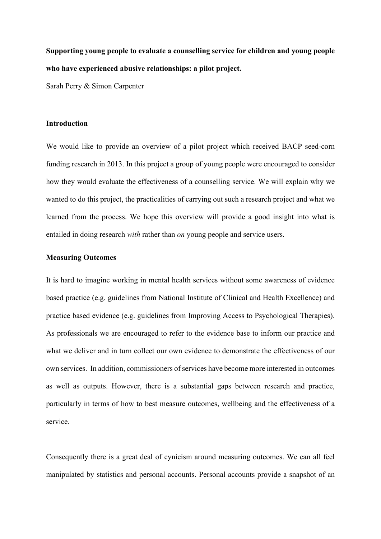**Supporting young people to evaluate a counselling service for children and young people who have experienced abusive relationships: a pilot project.**

Sarah Perry & Simon Carpenter

## **Introduction**

We would like to provide an overview of a pilot project which received BACP seed-corn funding research in 2013. In this project a group of young people were encouraged to consider how they would evaluate the effectiveness of a counselling service. We will explain why we wanted to do this project, the practicalities of carrying out such a research project and what we learned from the process. We hope this overview will provide a good insight into what is entailed in doing research *with* rather than *on* young people and service users.

## **Measuring Outcomes**

It is hard to imagine working in mental health services without some awareness of evidence based practice (e.g. guidelines from National Institute of Clinical and Health Excellence) and practice based evidence (e.g. guidelines from Improving Access to Psychological Therapies). As professionals we are encouraged to refer to the evidence base to inform our practice and what we deliver and in turn collect our own evidence to demonstrate the effectiveness of our own services. In addition, commissioners of services have become more interested in outcomes as well as outputs. However, there is a substantial gaps between research and practice, particularly in terms of how to best measure outcomes, wellbeing and the effectiveness of a service.

Consequently there is a great deal of cynicism around measuring outcomes. We can all feel manipulated by statistics and personal accounts. Personal accounts provide a snapshot of an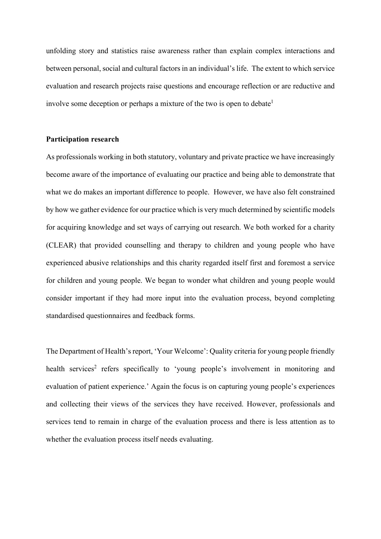unfolding story and statistics raise awareness rather than explain complex interactions and between personal, social and cultural factors in an individual's life. The extent to which service evaluation and research projects raise questions and encourage reflection or are reductive and involve some deception or perhaps a mixture of the two is open to debate<sup>1</sup>

# **Participation research**

As professionals working in both statutory, voluntary and private practice we have increasingly become aware of the importance of evaluating our practice and being able to demonstrate that what we do makes an important difference to people. However, we have also felt constrained by how we gather evidence for our practice which is very much determined by scientific models for acquiring knowledge and set ways of carrying out research. We both worked for a charity (CLEAR) that provided counselling and therapy to children and young people who have experienced abusive relationships and this charity regarded itself first and foremost a service for children and young people. We began to wonder what children and young people would consider important if they had more input into the evaluation process, beyond completing standardised questionnaires and feedback forms.

The Department of Health's report, 'Your Welcome': Quality criteria for young people friendly health services<sup>2</sup> refers specifically to 'young people's involvement in monitoring and evaluation of patient experience.' Again the focus is on capturing young people's experiences and collecting their views of the services they have received. However, professionals and services tend to remain in charge of the evaluation process and there is less attention as to whether the evaluation process itself needs evaluating.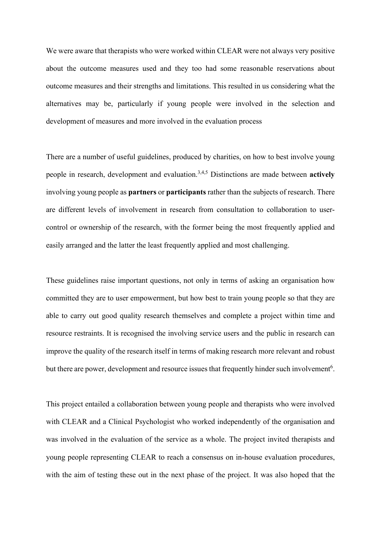We were aware that therapists who were worked within CLEAR were not always very positive about the outcome measures used and they too had some reasonable reservations about outcome measures and their strengths and limitations. This resulted in us considering what the alternatives may be, particularly if young people were involved in the selection and development of measures and more involved in the evaluation process

There are a number of useful guidelines, produced by charities, on how to best involve young people in research, development and evaluation. 3,4,5 Distinctions are made between **actively** involving young people as **partners** or **participants** rather than the subjects of research. There are different levels of involvement in research from consultation to collaboration to usercontrol or ownership of the research, with the former being the most frequently applied and easily arranged and the latter the least frequently applied and most challenging.

These guidelines raise important questions, not only in terms of asking an organisation how committed they are to user empowerment, but how best to train young people so that they are able to carry out good quality research themselves and complete a project within time and resource restraints. It is recognised the involving service users and the public in research can improve the quality of the research itself in terms of making research more relevant and robust but there are power, development and resource issues that frequently hinder such involvement<sup>6</sup>.

This project entailed a collaboration between young people and therapists who were involved with CLEAR and a Clinical Psychologist who worked independently of the organisation and was involved in the evaluation of the service as a whole. The project invited therapists and young people representing CLEAR to reach a consensus on in-house evaluation procedures, with the aim of testing these out in the next phase of the project. It was also hoped that the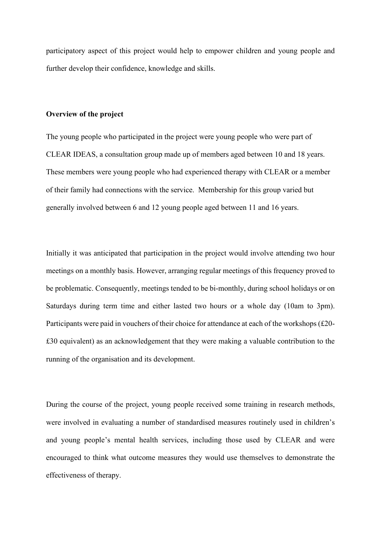participatory aspect of this project would help to empower children and young people and further develop their confidence, knowledge and skills.

## **Overview of the project**

The young people who participated in the project were young people who were part of CLEAR IDEAS, a consultation group made up of members aged between 10 and 18 years. These members were young people who had experienced therapy with CLEAR or a member of their family had connections with the service. Membership for this group varied but generally involved between 6 and 12 young people aged between 11 and 16 years.

Initially it was anticipated that participation in the project would involve attending two hour meetings on a monthly basis. However, arranging regular meetings of this frequency proved to be problematic. Consequently, meetings tended to be bi-monthly, during school holidays or on Saturdays during term time and either lasted two hours or a whole day (10am to 3pm). Participants were paid in vouchers of their choice for attendance at each of the workshops (£20- £30 equivalent) as an acknowledgement that they were making a valuable contribution to the running of the organisation and its development.

During the course of the project, young people received some training in research methods, were involved in evaluating a number of standardised measures routinely used in children's and young people's mental health services, including those used by CLEAR and were encouraged to think what outcome measures they would use themselves to demonstrate the effectiveness of therapy.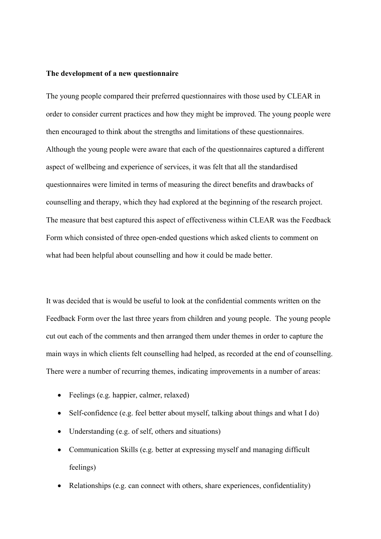#### **The development of a new questionnaire**

The young people compared their preferred questionnaires with those used by CLEAR in order to consider current practices and how they might be improved. The young people were then encouraged to think about the strengths and limitations of these questionnaires. Although the young people were aware that each of the questionnaires captured a different aspect of wellbeing and experience of services, it was felt that all the standardised questionnaires were limited in terms of measuring the direct benefits and drawbacks of counselling and therapy, which they had explored at the beginning of the research project. The measure that best captured this aspect of effectiveness within CLEAR was the Feedback Form which consisted of three open-ended questions which asked clients to comment on what had been helpful about counselling and how it could be made better.

It was decided that is would be useful to look at the confidential comments written on the Feedback Form over the last three years from children and young people. The young people cut out each of the comments and then arranged them under themes in order to capture the main ways in which clients felt counselling had helped, as recorded at the end of counselling. There were a number of recurring themes, indicating improvements in a number of areas:

- Feelings (e.g. happier, calmer, relaxed)
- Self-confidence (e.g. feel better about myself, talking about things and what I do)
- Understanding (e.g. of self, others and situations)
- Communication Skills (e.g. better at expressing myself and managing difficult feelings)
- Relationships (e.g. can connect with others, share experiences, confidentiality)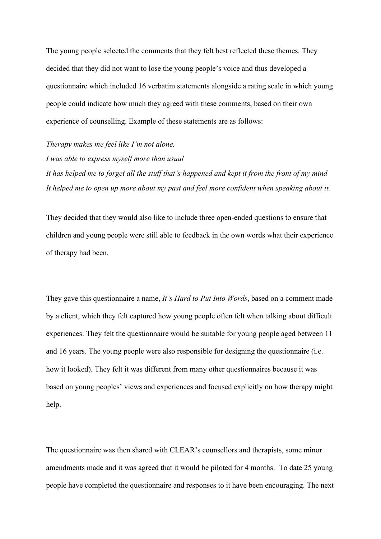The young people selected the comments that they felt best reflected these themes. They decided that they did not want to lose the young people's voice and thus developed a questionnaire which included 16 verbatim statements alongside a rating scale in which young people could indicate how much they agreed with these comments, based on their own experience of counselling. Example of these statements are as follows:

*Therapy makes me feel like I'm not alone. I was able to express myself more than usual It has helped me to forget all the stuff that's happened and kept it from the front of my mind It helped me to open up more about my past and feel more confident when speaking about it.*

They decided that they would also like to include three open-ended questions to ensure that children and young people were still able to feedback in the own words what their experience of therapy had been.

They gave this questionnaire a name, *It's Hard to Put Into Words*, based on a comment made by a client, which they felt captured how young people often felt when talking about difficult experiences. They felt the questionnaire would be suitable for young people aged between 11 and 16 years. The young people were also responsible for designing the questionnaire (i.e. how it looked). They felt it was different from many other questionnaires because it was based on young peoples' views and experiences and focused explicitly on how therapy might help.

The questionnaire was then shared with CLEAR's counsellors and therapists, some minor amendments made and it was agreed that it would be piloted for 4 months. To date 25 young people have completed the questionnaire and responses to it have been encouraging. The next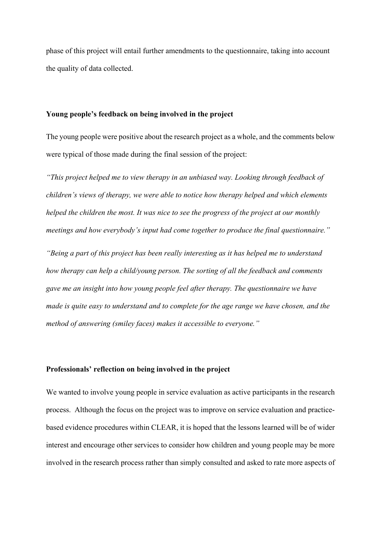phase of this project will entail further amendments to the questionnaire, taking into account the quality of data collected.

## **Young people's feedback on being involved in the project**

The young people were positive about the research project as a whole, and the comments below were typical of those made during the final session of the project:

*"This project helped me to view therapy in an unbiased way. Looking through feedback of children's views of therapy, we were able to notice how therapy helped and which elements helped the children the most. It was nice to see the progress of the project at our monthly meetings and how everybody's input had come together to produce the final questionnaire."*

*"Being a part of this project has been really interesting as it has helped me to understand how therapy can help a child/young person. The sorting of all the feedback and comments gave me an insight into how young people feel after therapy. The questionnaire we have made is quite easy to understand and to complete for the age range we have chosen, and the method of answering (smiley faces) makes it accessible to everyone."*

# **Professionals' reflection on being involved in the project**

We wanted to involve young people in service evaluation as active participants in the research process. Although the focus on the project was to improve on service evaluation and practicebased evidence procedures within CLEAR, it is hoped that the lessons learned will be of wider interest and encourage other services to consider how children and young people may be more involved in the research process rather than simply consulted and asked to rate more aspects of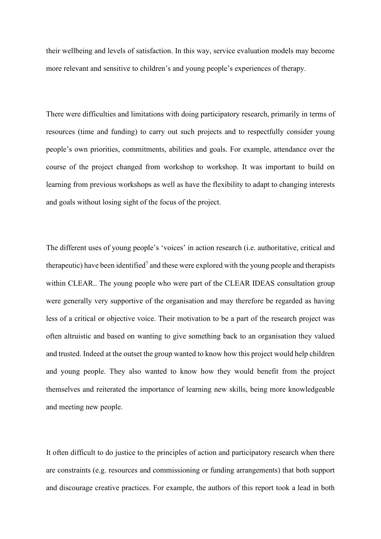their wellbeing and levels of satisfaction. In this way, service evaluation models may become more relevant and sensitive to children's and young people's experiences of therapy.

There were difficulties and limitations with doing participatory research, primarily in terms of resources (time and funding) to carry out such projects and to respectfully consider young people's own priorities, commitments, abilities and goals. For example, attendance over the course of the project changed from workshop to workshop. It was important to build on learning from previous workshops as well as have the flexibility to adapt to changing interests and goals without losing sight of the focus of the project.

The different uses of young people's 'voices' in action research (i.e. authoritative, critical and therapeutic) have been identified<sup>7</sup> and these were explored with the young people and therapists within CLEAR.. The young people who were part of the CLEAR IDEAS consultation group were generally very supportive of the organisation and may therefore be regarded as having less of a critical or objective voice. Their motivation to be a part of the research project was often altruistic and based on wanting to give something back to an organisation they valued and trusted. Indeed at the outset the group wanted to know how this project would help children and young people. They also wanted to know how they would benefit from the project themselves and reiterated the importance of learning new skills, being more knowledgeable and meeting new people.

It often difficult to do justice to the principles of action and participatory research when there are constraints (e.g. resources and commissioning or funding arrangements) that both support and discourage creative practices. For example, the authors of this report took a lead in both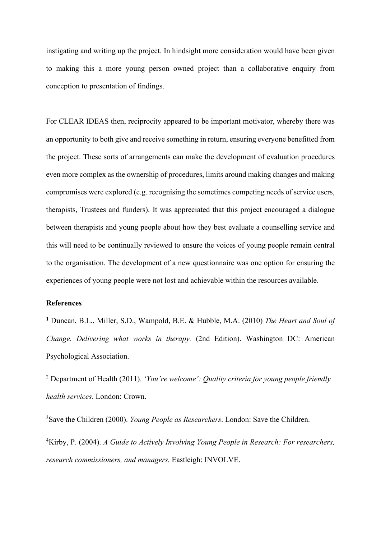instigating and writing up the project. In hindsight more consideration would have been given to making this a more young person owned project than a collaborative enquiry from conception to presentation of findings.

For CLEAR IDEAS then, reciprocity appeared to be important motivator, whereby there was an opportunity to both give and receive something in return, ensuring everyone benefitted from the project. These sorts of arrangements can make the development of evaluation procedures even more complex as the ownership of procedures, limits around making changes and making compromises were explored (e.g. recognising the sometimes competing needs of service users, therapists, Trustees and funders). It was appreciated that this project encouraged a dialogue between therapists and young people about how they best evaluate a counselling service and this will need to be continually reviewed to ensure the voices of young people remain central to the organisation. The development of a new questionnaire was one option for ensuring the experiences of young people were not lost and achievable within the resources available.

# **References**

**<sup>1</sup>** Duncan, B.L., Miller, S.D., Wampold, B.E. & Hubble, M.A. (2010) *The Heart and Soul of Change. Delivering what works in therapy.* (2nd Edition). Washington DC: American Psychological Association.

<sup>2</sup> Department of Health (2011). *'You're welcome': Quality criteria for young people friendly health services*. London: Crown.

3 Save the Children (2000). *Young People as Researchers*. London: Save the Children.

4 Kirby, P. (2004). *A Guide to Actively Involving Young People in Research: For researchers, research commissioners, and managers.* Eastleigh: INVOLVE.